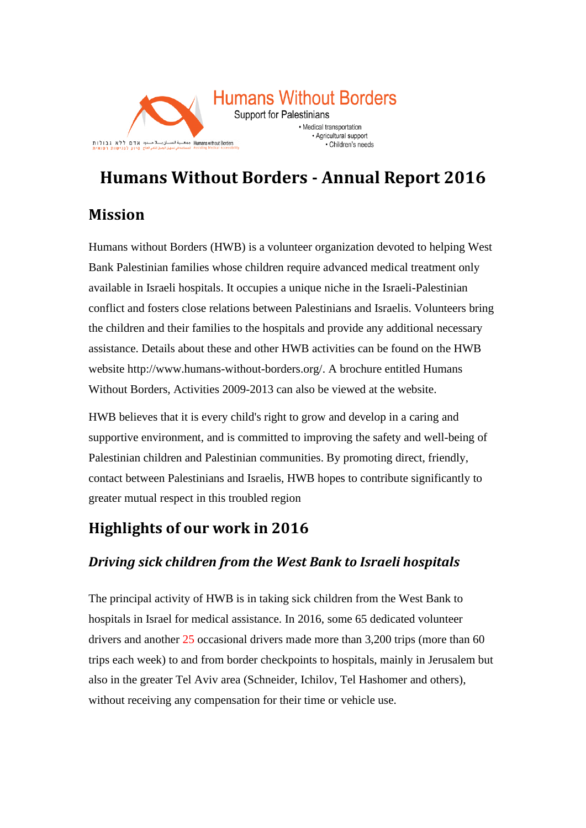

# **Humans Without Borders - Annual Report 2016**

# **Mission**

Humans without Borders (HWB) is a volunteer organization devoted to helping West Bank Palestinian families whose children require advanced medical treatment only available in Israeli hospitals. It occupies a unique niche in the Israeli-Palestinian conflict and fosters close relations between Palestinians and Israelis. Volunteers bring the children and their families to the hospitals and provide any additional necessary assistance. Details about these and other HWB activities can be found on the HWB website [http://www.humans-without-borders.org/.](http://www.humans-without-borders.org/) A brochure entitled Humans Without Borders, Activities 2009-2013 can also be viewed at the website.

HWB believes that it is every child's right to grow and develop in a caring and supportive environment, and is committed to improving the safety and well-being of Palestinian children and Palestinian communities. By promoting direct, friendly, contact between Palestinians and Israelis, HWB hopes to contribute significantly to greater mutual respect in this troubled region

# **Highlights of our work in 2016**

### *Driving sick children from the West Bank to Israeli hospitals*

The principal activity of HWB is in taking sick children from the West Bank to hospitals in Israel for medical assistance. In 2016, some 65 dedicated volunteer drivers and another 25 occasional drivers made more than 3,200 trips (more than 60) trips each week) to and from border checkpoints to hospitals, mainly in Jerusalem but also in the greater Tel Aviv area (Schneider, Ichilov, Tel Hashomer and others), without receiving any compensation for their time or vehicle use.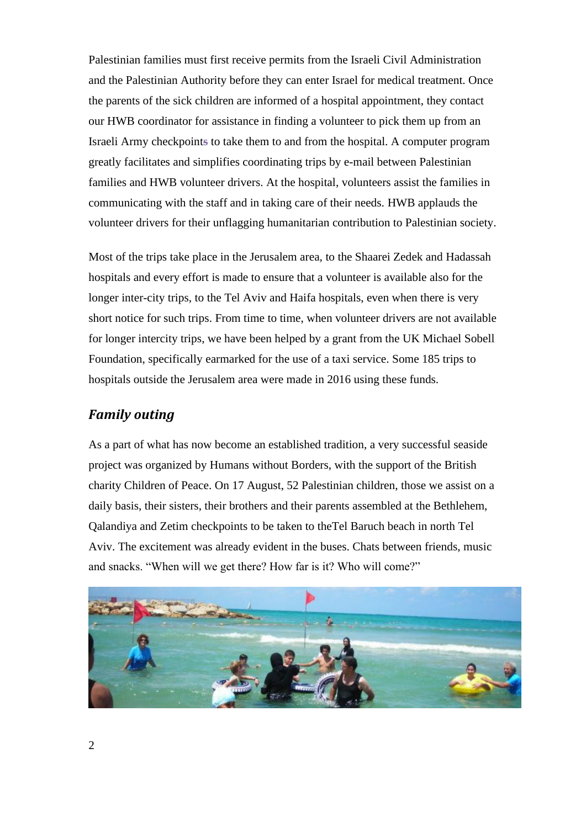Palestinian families must first receive permits from the Israeli Civil Administration and the Palestinian Authority before they can enter Israel for medical treatment. Once the parents of the sick children are informed of a hospital appointment, they contact our HWB coordinator for assistance in finding a volunteer to pick them up from an Israeli Army checkpoint**s** to take them to and from the hospital. A computer program greatly facilitates and simplifies coordinating trips by e-mail between Palestinian families and HWB volunteer drivers. At the hospital, volunteers assist the families in communicating with the staff and in taking care of their needs. HWB applauds the volunteer drivers for their unflagging humanitarian contribution to Palestinian society.

Most of the trips take place in the Jerusalem area, to the Shaarei Zedek and Hadassah hospitals and every effort is made to ensure that a volunteer is available also for the longer inter-city trips, to the Tel Aviv and Haifa hospitals, even when there is very short notice for such trips. From time to time, when volunteer drivers are not available for longer intercity trips, we have been helped by a grant from the UK Michael Sobell Foundation, specifically earmarked for the use of a taxi service. Some 185 trips to hospitals outside the Jerusalem area were made in 2016 using these funds.

#### *Family outing*

As a part of what has now become an established tradition, a very successful seaside project was organized by Humans without Borders, with the support of the British charity Children of Peace. On 17 August, 52 Palestinian children, those we assist on a daily basis, their sisters, their brothers and their parents assembled at the Bethlehem, Qalandiya and Zetim checkpoints to be taken to theTel Baruch beach in north Tel Aviv. The excitement was already evident in the buses. Chats between friends, music and snacks. "When will we get there? How far is it? Who will come?"

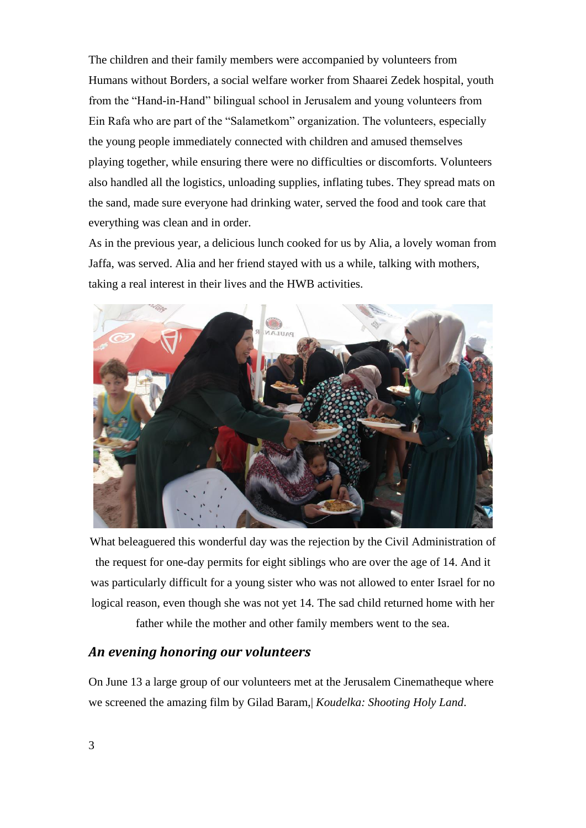The children and their family members were accompanied by volunteers from Humans without Borders, a social welfare worker from Shaarei Zedek hospital, youth from the "Hand-in-Hand" bilingual school in Jerusalem and young volunteers from Ein Rafa who are part of the "Salametkom" organization. The volunteers, especially the young people immediately connected with children and amused themselves playing together, while ensuring there were no difficulties or discomforts. Volunteers also handled all the logistics, unloading supplies, inflating tubes. They spread mats on the sand, made sure everyone had drinking water, served the food and took care that everything was clean and in order.

As in the previous year, a delicious lunch cooked for us by Alia, a lovely woman from Jaffa, was served. Alia and her friend stayed with us a while, talking with mothers, taking a real interest in their lives and the HWB activities.



What beleaguered this wonderful day was the rejection by the Civil Administration of the request for one-day permits for eight siblings who are over the age of 14. And it was particularly difficult for a young sister who was not allowed to enter Israel for no logical reason, even though she was not yet 14. The sad child returned home with her

father while the mother and other family members went to the sea.

#### *An evening honoring our volunteers*

On June 13 a large group of our volunteers met at the Jerusalem Cinematheque where we screened the amazing film by Gilad Baram,| *Koudelka: Shooting Holy Land*.